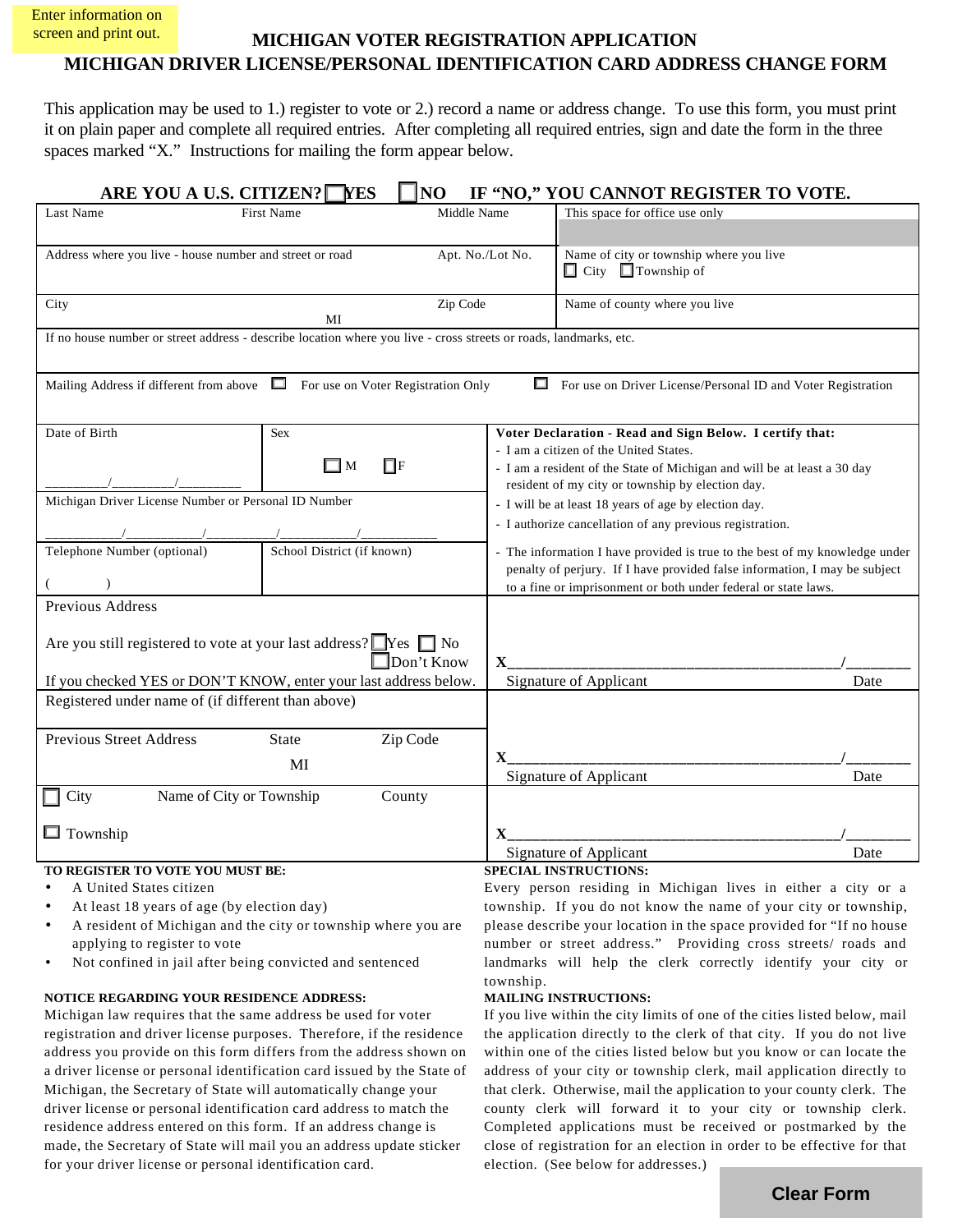Enter information on screen and print out.

# **MICHIGAN VOTER REGISTRATION APPLICATION MICHIGAN DRIVER LICENSE/PERSONAL IDENTIFICATION CARD ADDRESS CHANGE FORM**

This application may be used to 1.) register to vote or 2.) record a name or address change. To use this form, you must print it on plain paper and complete all required entries. After completing all required entries, sign and date the form in the three spaces marked "X." Instructions for mailing the form appear below.

| ARE YOU A U.S. CITIZEN? VES                                                                                             |                                  | NO                |                                                                                                                                                           | IF "NO," YOU CANNOT REGISTER TO VOTE.                                    |      |  |
|-------------------------------------------------------------------------------------------------------------------------|----------------------------------|-------------------|-----------------------------------------------------------------------------------------------------------------------------------------------------------|--------------------------------------------------------------------------|------|--|
| Last Name                                                                                                               | <b>First Name</b><br>Middle Name |                   |                                                                                                                                                           | This space for office use only                                           |      |  |
|                                                                                                                         |                                  |                   |                                                                                                                                                           |                                                                          |      |  |
| Address where you live - house number and street or road<br>Apt. No./Lot No.                                            |                                  |                   |                                                                                                                                                           | Name of city or township where you live                                  |      |  |
|                                                                                                                         |                                  |                   |                                                                                                                                                           | $\Box$ City $\Box$ Township of                                           |      |  |
| City<br>Zip Code                                                                                                        |                                  |                   |                                                                                                                                                           | Name of county where you live                                            |      |  |
| MI<br>If no house number or street address - describe location where you live - cross streets or roads, landmarks, etc. |                                  |                   |                                                                                                                                                           |                                                                          |      |  |
|                                                                                                                         |                                  |                   |                                                                                                                                                           |                                                                          |      |  |
| Mailing Address if different from above $\Box$ For use on Voter Registration Only                                       |                                  |                   |                                                                                                                                                           | For use on Driver License/Personal ID and Voter Registration             |      |  |
|                                                                                                                         |                                  |                   |                                                                                                                                                           |                                                                          |      |  |
| Date of Birth                                                                                                           | <b>Sex</b>                       |                   |                                                                                                                                                           | Voter Declaration - Read and Sign Below. I certify that:                 |      |  |
|                                                                                                                         |                                  |                   |                                                                                                                                                           | - I am a citizen of the United States.                                   |      |  |
|                                                                                                                         | $\Box$ f<br>$\Box$ M             |                   |                                                                                                                                                           | - I am a resident of the State of Michigan and will be at least a 30 day |      |  |
| Michigan Driver License Number or Personal ID Number                                                                    |                                  |                   | resident of my city or township by election day.                                                                                                          |                                                                          |      |  |
|                                                                                                                         |                                  |                   | - I will be at least 18 years of age by election day.<br>- I authorize cancellation of any previous registration.                                         |                                                                          |      |  |
|                                                                                                                         |                                  |                   |                                                                                                                                                           |                                                                          |      |  |
| Telephone Number (optional)                                                                                             | School District (if known)       |                   | - The information I have provided is true to the best of my knowledge under<br>penalty of perjury. If I have provided false information, I may be subject |                                                                          |      |  |
|                                                                                                                         |                                  |                   | to a fine or imprisonment or both under federal or state laws.                                                                                            |                                                                          |      |  |
| Previous Address                                                                                                        |                                  |                   |                                                                                                                                                           |                                                                          |      |  |
|                                                                                                                         |                                  |                   |                                                                                                                                                           |                                                                          |      |  |
| Are you still registered to vote at your last address? Yes no                                                           |                                  | $\Box$ Don't Know | $\mathbf{X}$                                                                                                                                              |                                                                          |      |  |
| If you checked YES or DON'T KNOW, enter your last address below.                                                        |                                  |                   |                                                                                                                                                           | Signature of Applicant                                                   | Date |  |
| Registered under name of (if different than above)                                                                      |                                  |                   |                                                                                                                                                           |                                                                          |      |  |
|                                                                                                                         |                                  |                   |                                                                                                                                                           |                                                                          |      |  |
| <b>Previous Street Address</b>                                                                                          | State                            | Zip Code          |                                                                                                                                                           |                                                                          |      |  |
| MI                                                                                                                      |                                  |                   | X.                                                                                                                                                        | Signature of Applicant                                                   | Date |  |
| Name of City or Township<br>City<br>County                                                                              |                                  |                   |                                                                                                                                                           |                                                                          |      |  |
|                                                                                                                         |                                  |                   |                                                                                                                                                           |                                                                          |      |  |
| $\Box$ Township                                                                                                         |                                  |                   | $\mathbf X$                                                                                                                                               |                                                                          |      |  |
| TO REGISTER TO VOTE YOU MUST BE:                                                                                        |                                  |                   | Signature of Applicant<br>Date<br><b>SPECIAL INSTRUCTIONS:</b>                                                                                            |                                                                          |      |  |

- A United States citizen
- At least 18 years of age (by election day)
- A resident of Michigan and the city or township where you are applying to register to vote
- Not confined in jail after being convicted and sentenced

#### **NOTICE REGARDING YOUR RESIDENCE ADDRESS:**

Michigan law requires that the same address be used for voter registration and driver license purposes. Therefore, if the residence address you provide on this form differs from the address shown on a driver license or personal identification card issued by the State of Michigan, the Secretary of State will automatically change your driver license or personal identification card address to match the residence address entered on this form. If an address change is made, the Secretary of State will mail you an address update sticker for your driver license or personal identification card.

## Every person residing in Michigan lives in either a city or a township. If you do not know the name of your city or township, please describe your location in the space provided for "If no house number or street address." Providing cross streets/ roads and

landmarks will help the clerk correctly identify your city or

township. **MAILING INSTRUCTIONS:**

If you live within the city limits of one of the cities listed below, mail the application directly to the clerk of that city. If you do not live within one of the cities listed below but you know or can locate the address of your city or township clerk, mail application directly to that clerk. Otherwise, mail the application to your county clerk. The county clerk will forward it to your city or township clerk. Completed applications must be received or postmarked by the close of registration for an election in order to be effective for that election. (See below for addresses.)

**Clear Form**